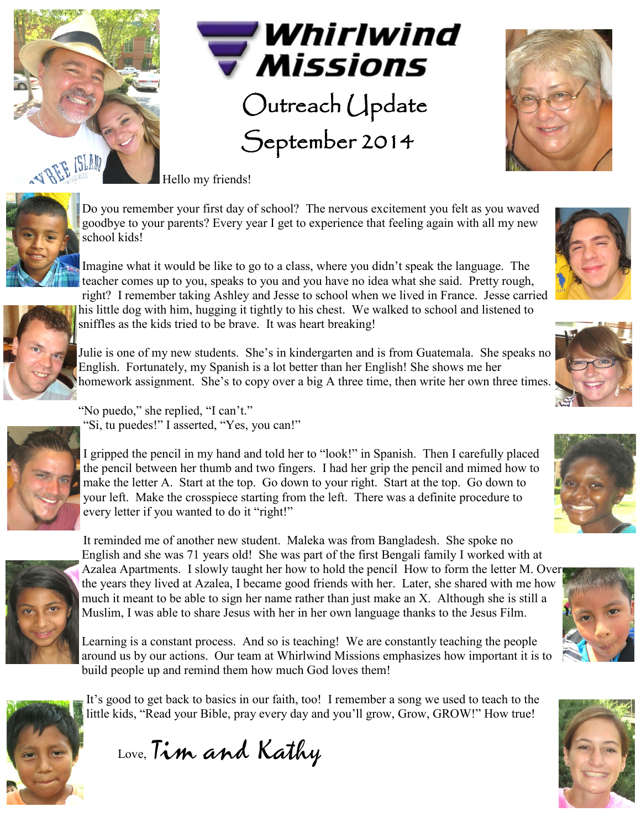



## Outreach Update September 2014



Hello my friends!



Do you remember your first day of school? The nervous excitement you felt as you waved goodbye to your parents? Every year I get to experience that feeling again with all my new school kids!

Imagine what it would be like to go to a class, where you didn't speak the language. The teacher comes up to you, speaks to you and you have no idea what she said. Pretty rough,



right? I remember taking Ashley and Jesse to school when we lived in France. Jesse carried his little dog with him, hugging it tightly to his chest. We walked to school and listened to sniffles as the kids tried to be brave. It was heart breaking!

Julie is one of my new students. She's in kindergarten and is from Guatemala. She speaks no English. Fortunately, my Spanish is a lot better than her English! She shows me her homework assignment. She's to copy over a big A three time, then write her own three times.



"No puedo," she replied, "I can't." "Si, tu puedes!" I asserted, "Yes, you can!"

I gripped the pencil in my hand and told her to "look!" in Spanish. Then I carefully placed the pencil between her thumb and two fingers. I had her grip the pencil and mimed how to make the letter A. Start at the top. Go down to your right. Start at the top. Go down to your left. Make the crosspiece starting from the left. There was a definite procedure to every letter if you wanted to do it "right!"



It reminded me of another new student. Maleka was from Bangladesh. She spoke no English and she was 71 years old! She was part of the first Bengali family I worked with at Azalea Apartments. I slowly taught her how to hold the pencil How to form the letter M. Over the years they lived at Azalea, I became good friends with her. Later, she shared with me how much it meant to be able to sign her name rather than just make an X. Although she is still a Muslim, I was able to share Jesus with her in her own language thanks to the Jesus Film.

Learning is a constant process. And so is teaching! We are constantly teaching the people around us by our actions. Our team at Whirlwind Missions emphasizes how important it is to build people up and remind them how much God loves them!



It's good to get back to basics in our faith, too! I remember a song we used to teach to the little kids, "Read your Bible, pray every day and you'll grow, Grow, GROW!" How true!

Love, Tim and Kathy